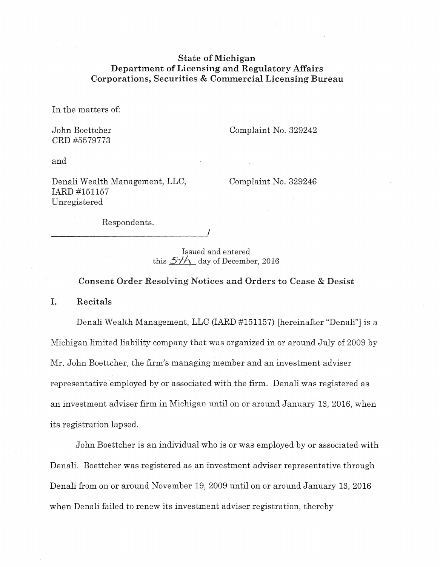# **State of Michigan Department of Licensing and Regulatory Mfairs**  Corporations, Securities & Commercial Licensing Bureau

In the matters of:

John Boettcher CRD #5579773

Complaint No. 329242

and

Denali Wealth Management, LLC, IARD #151157 Unregistered

Complaint No. 329246

Respondents.

----------------------------~'

Issued and entered this  $5\frac{1}{10}$  day of December, 2016

Consent Order Resolving Notices and Orders to Cease & Desist

I. Recitals

Denali Wealth Management, LLC (IARD #151157) [hereinafter "Denali"] is a Michigan limited liability company that was organized in or around July of 2009 by Mr. John Boettcher, the firm's managing member and an investment adviser representative employed by or associated with the firm. Denali was registered as an investment adviser firm in Michigan until on or around January 13, 2016, when its registration lapsed.

John Boettcher is an individual who is or was employed by or associated with Denali. Boettcher was registered as an investment adviser representative through Denali from on or around November 19, 2009 until on or around January 13, 2016 when Denali failed to renew its investment adviser registration, thereby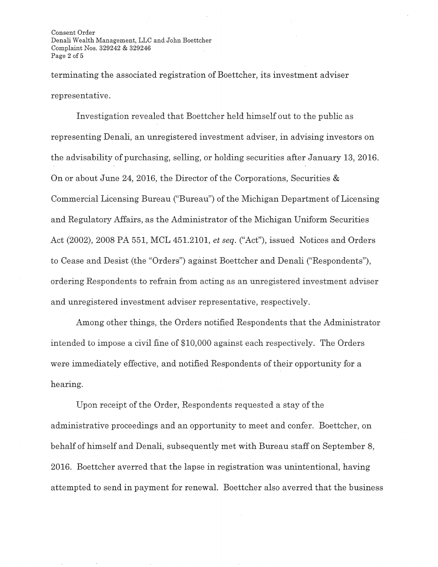Consent Order Denali Wealth Management, LLC and John Boettcher Complaint Nos. 329242 & 329246 Page 2 of 5

terminating the associated registration of Boettcher, its investment adviser representative.

Investigation revealed that Boettcher held himself out to the public as representing Denali, an unregistered investment adviser, in advising investors on the advisability of purchasing, selling, or holding securities after January 13, 2016. On or about June 24, 2016, the Director of the Corporations, Securities & Commercial Licensing Bureau ("Bureau") of the Michigan Department of Licensing and Regulatory Mfairs, as the Administrator of the Michigan Uniform Securities Act (2002), 2008 PA 551, MCL 451.2101, *et seq.* ("Act"), issued Notices and Orders to Cease and Desist (the "Orders") against Boettcher and Denali ("Respondents"), ordering Respondents to refrain from acting as an unregistered investment adviser and unregistered investment adviser representative, respectively.

Among other things, the Orders notified Respondents that the Administrator intended to impose a civil fine of \$10,000 against each respectively. The Orders were immediately effective, and notified Respondents of their opportunity for a hearing.

Upon receipt of the Order, Respondents requested a stay of the administrative proceedings and an opportunity to meet and confer. Boettcher, on behalf of himself and Denali, subsequently met with Bureau staff on September 8, 2016. Boettcher averred that the lapse in registration was unintentional, having attempted to send in payment for renewal. Boettcher also averred that the business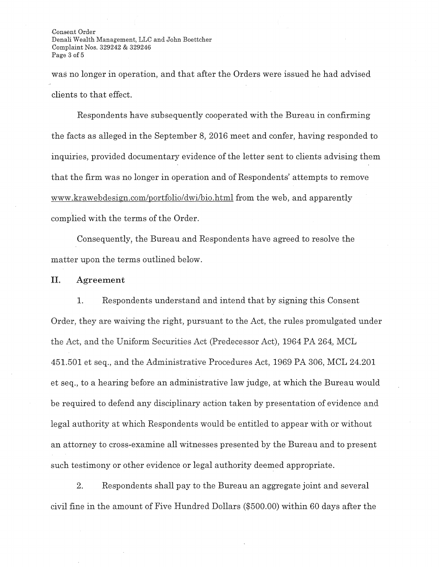Consent Order Denali Wealth Management, LLC and John Boettcher Complaint Nos. 329242 & 329246 Page 3 of 5

was no longer in operation, and that after the Orders were issued he had advised clients to that effect.

Respondents have subsequently cooperated with the Bureau in confirming the facts as alleged in the September 8, 2016 meet and confer, having responded to inquiries, provided documentary evidence of the letter sent to clients advising them that the firm was no longer in operation and of Respondents' attempts to remove www.krawebdesign.com/portfolio/dwi/bio.html from the web, and apparently complied with the terms of the Order.

Consequently, the Bureau and Respondents have agreed to resolve the matter upon the terms outlined below.

## II. Agreement

1. Respondents understand and intend that by signing this Consent Order, they are waiving the right, pursuant to the Act, the rules promulgated under the Act, and the Uniform Securities Act (Predecessor Act), 1964 PA 264, MCL 451.501 et seq., and the Administrative Procedures Act, 1969 PA 306, MCL 24.201 et seq., to a hearing before an administrative law judge, at which the Bureau would be required to defend any disciplinary action taken by presentation of evidence and legal authority at which Respondents would be entitled to appear with or without an attorney to cross-examine all witnesses presented by the Bureau and to present such testimony or other evidence or legal authority deemed appropriate.

2. Respondents shall pay to the Bureau an aggregate joint and several civil fine in the amount of Five Hundred Dollars (\$500.00) within 60 days after the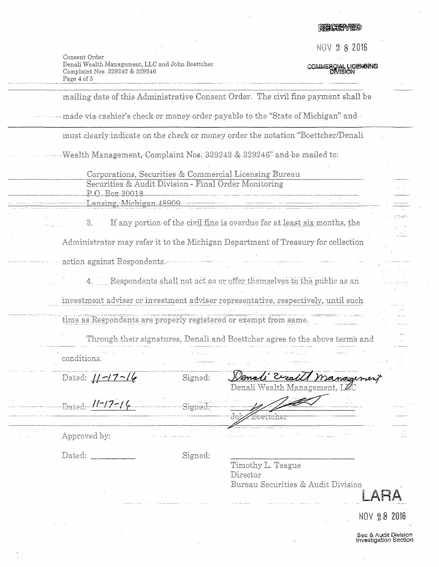# 天有大家不错的

f\iOV *2* 8 **<sup>2016</sup>**

COMMERCIAL LICENSING

 $\sim$ 

| Consent Order                                    |
|--------------------------------------------------|
| Denali Wealth Management, LLC and John Boettcher |
| Complaint Nos. 329242 & 329246                   |
| Page 4 of 5                                      |
|                                                  |

|                                                                        |         | mailing date of this Administrative Consent Order. The civil fine payment shall be |             |
|------------------------------------------------------------------------|---------|------------------------------------------------------------------------------------|-------------|
|                                                                        |         | made via cashier's check or money-order payable to the "State of Michigan" and -   |             |
|                                                                        |         | must clearly indicate on the check or money order the notation "Boettcher/Denali   |             |
|                                                                        |         | Wealth-Management, Complaint Nos. 329242 & 329246" and be mailed to:               |             |
| Corporations, Securities & Commercial Licensing Bureau                 |         |                                                                                    |             |
| Securities & Audit Division - Final Order Monitoring<br>P.O. Box 30018 |         | Lansing, Michigan 48909                                                            |             |
| 3.                                                                     |         | If any portion of the civil fine is overdue for at least six months, the           |             |
|                                                                        |         | Administrator may refer it to the Michigan Department of Treasury for collection   |             |
| action against Respondents.-                                           |         |                                                                                    |             |
|                                                                        |         | Respondents shall not act as or offer themselves to the public as an               |             |
|                                                                        |         | investment adviser or investment adviser representative, respectively, until such  |             |
| time as Respondents are properly registered or exempt from same.       |         |                                                                                    |             |
|                                                                        |         | Through their signatures, Denali and Boettcher agree to the above term's and       |             |
| conditions.                                                            |         |                                                                                    |             |
| Dated: $1-17-16$                                                       | Signed: | Venali Erra<br>1 management<br>Denali Wealth Management, LZ                        |             |
| Dated: 11-17-14                                                        | Signed: | boettcher                                                                          |             |
| Approved by:                                                           |         |                                                                                    |             |
| Dated:                                                                 | Signed: | Timothy L. Teague                                                                  |             |
|                                                                        |         | Director<br>Bureau Securities & Audit Division                                     |             |
|                                                                        |         |                                                                                    | NOV 28 2016 |

Sec & Audit Division<br>Investigation Section

 $\bar{\beta}$ 

 $\ddot{\phantom{a}}$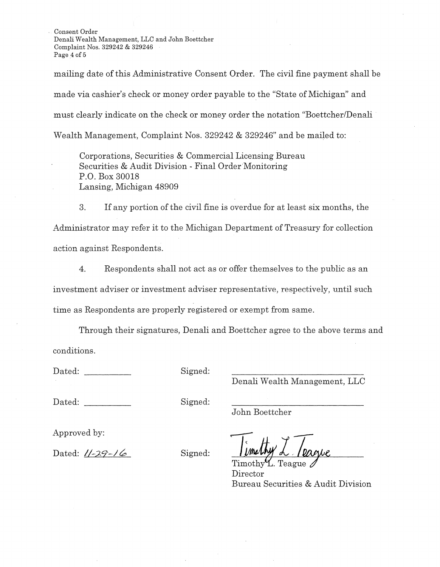Consent Order Denali Wealth Management, LLC and John Boettcher Complaint Nos. 329242 & 329246 Page 4 of 5

mailing date of this Administrative Consent Order. The civil fine payment shall be made via cashier's check or money order payable to the "State of Michigan" and must clearly indicate on the check or money order the notation "Boettcher/Denali Wealth Management, Complaint Nos. 329242 & 329246" and be mailed to:

Corporations, Securities & Commercial Licensing Bureau Securities & Audit Division - Final Order Monitoring P.O. Box 30018 Lansing, Michigan 48909

3. If any portion of the civil fine is overdue for at least six months, the Administrator may refer it to the Michigan Department of Treasury for collection action against Respondents.

4. Respondents shall not act as or offer themselves to the public as an investment adviser or investment adviser representative, respectively, until such time as Respondents are properly registered or exempt from same.

Through their signatures, Denali and Boettcher agree to the above terms and conditions.

Dated: Signed:

Denali Wealth Management, LLC

Dated: Signed:

John Boettcher

Approved by:

Dated: *11-29-16* Signed:  $\frac{1 \text{ [Mudhy]} \lambda \cdot \text{ [Dap/c]}}{\text{Timothy L. Teague}}$ 

Director Bureau Securities & Audit Division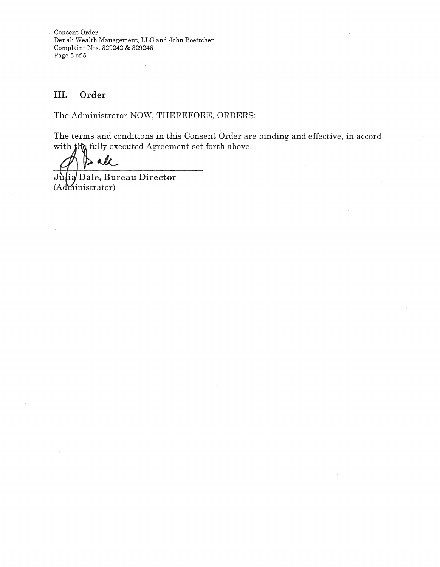Consent Order Denali Wealth Management, LLC and John Boettcher Complaint Nos. 329242 & 329246 Page 5 of 5

# III. Order

The Administrator NOW, THEREFORE, ORDERS:

The terms and conditions in this Consent Order are binding and effective, in accord with  $\sharp$ h fully executed Agreement set forth above.

 $\ell$ 

Julia Dale, Bureau Director  $(Administrator)$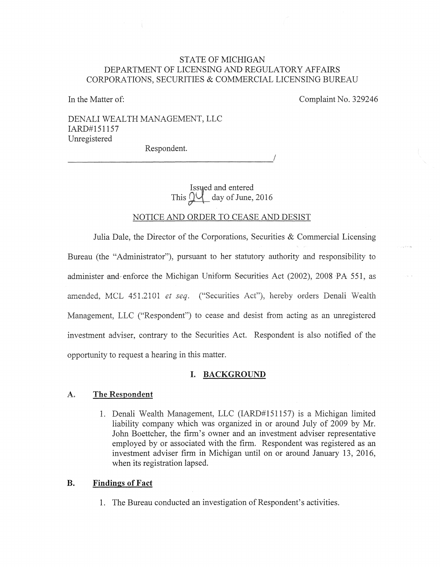## STATE OF MICHIGAN DEPARTMENT OF LICENSING AND REGULATORY AFFAIRS CORPORATIONS, SECURITIES & COMMERCIAL LICENSING BUREAU

In the Matter of:

Complaint No. 329246

DENALI WEALTH MANAGEMENT, LLC IARD#151157 Unregistered Respondent.

> Issued and entered This  $\mathcal{Q}$  day of June, 2016

## NOTICE AND ORDER TO CEASE AND DESIST

Julia Dale, the Director of the Corporations, Securities & Commercial Licensing Bureau (the "Administrator"), pursuant to her statutory authority and responsibility to administer and enforce the Michigan Uniform Securities Act (2002), 2008 PA 551, as amended, MCL 451.2101 *et seq.* ("Securities Act"), hereby orders Denali Wealth Management, LLC ("Respondent") to cease and desist from acting as an unregistered investment adviser, contrary to the Securities Act. Respondent is also notified of the opportunity to request a hearing in this matter.

### I. BACKGROUND

#### A, The Respondent

1. Denali Wealth Management, LLC (IARD#151157) is a Michigan limited liability company which was organized in or around July of 2009 by Mr. John Boettcher, the firm's owner and an investment adviser representative employed by or associated with the firm. Respondent was registered as an investment adviser firm in Michigan until on or around January 13, 2016, when its registration lapsed.

## **B. Findings of Fact**

1. The Bureau conducted an investigation of Respondent's activities.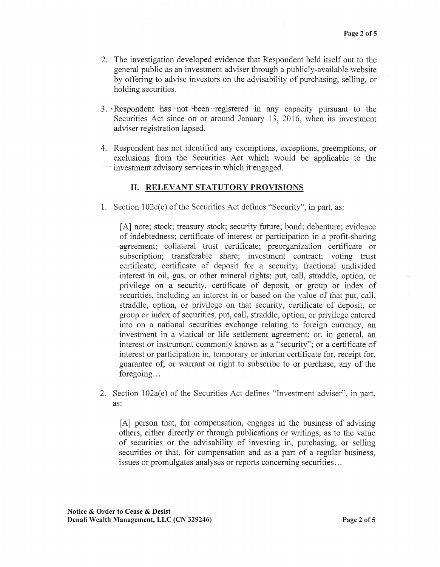- 2. The investigation developed evidence that Respondent held itself out to the general public as an investment adviser through a publicly-available website by offering to advise investors on the advisability of purchasing, selling, or holding securities.
- 3. Respondent has not been registered in any capacity pursuant to the Securities Act since on or around January 13, 2016, when its investment adviser registration lapsed.
- 4. Respondent has not identified any exemptions, exceptions, preemptions, or exclusions from the Securities Act which would be applicable to the investment advisory services in which it engaged.

## II. RELEVANT STATUTORY PROVISIONS

1. Section 102c(c) of the Securities Act defines "Security", in part, as:

[A] note; stock; treasury stock; security future; bond; debenture; evidence of indebtedness; certificate of interest or participation in a profit-sharing ,agreement; -collateral trust certificate; preorganization certificate or subscription; transferable share; investment contract; voting trust certificate; certificate of deposit for a security; fractional undivided interest in oil, gas, or other mineral rights; put, call, straddle, option, or privilege on a security, certificate of deposit, or group or index of securities, including an interest in or based on the value of that put, call, straddle, option, or privilege on that security, certificate of deposit, or group or index of securities, put, call, straddle, option, or privilege entered into on a national securities exchange relating to foreign currency, an investment in a viatical or life settlement agreement; or, in general, an interest or instrument commonly known as a "security"; or a certificate of interest or participation in, temporary or interim certificate for, receipt for, guarantee of, or warrant or right to subscribe to or purchase, any of the foregoing...

2. Section 102a(e) of the Securities Act defines "Investment adviser", in part, as:

[A] person that, for compensation, engages in the business of advising others, either directly or through publications or writings, as to the value of securities or the advisability of investing in, purchasing, or selling securities or that, for compensation and as a part of a regular business, issues or promulgates analyses or reports concerning securities ...

Notice & Order to Cease & Desist Denali Wealth Management, LLC (CN 329246) Page 2 of 5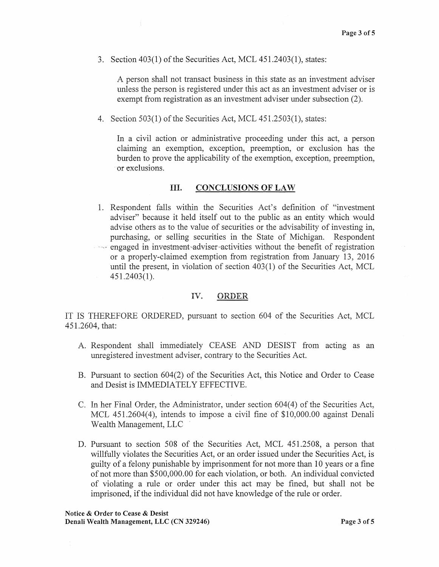3. Section  $403(1)$  of the Securities Act, MCL  $451.2403(1)$ , states:

A person shall not transact business in this state as an investment adviser unless the person is registered under this act as an investment adviser or is exempt from registration as an investment adviser under subsection (2).

4. Section 503(1) of the Securities Act, MCL 451.2503(1), states:

In a civil action or administrative proceeding under this act, a person claiming an exemption, exception, preemption, or exclusion has the burden to prove the applicability of the exemption, exception, preemption, ·or exclusions.

## III. CONCLUSIONS OF LAW

1. Respondent falls within the Securities Act's definition of "investment adviser" because it held itself out to the public as an entity which would advise others as to the value of securities or the advisability of investing in, purchasing, or selling securities in the State of Michigan. Respondent  $\cdot$  engaged in investment adviser activities without the benefit of registration or a properly-claimed exemption from registration from January 13, 2016 until the present, in violation of section 403(1) of the Securities Act, MCL 451.2403(1).

## IV. ORDER

IT IS THEREFORE ORDERED, pursuant to section 604 of the Securities Act, MCL 451.2604, that:

- A. Respondent shall immediately CEASE AND DESIST from acting as an unregistered investment adviser, contrary to the Securities Act.
- B. Pursuant to section 604(2) of the Securities Act, this Notice and Order to Cease and Desist is IMMEDIATELY EFFECTIVE.
- C. In her Final Order, the Administrator, under section 604(4) of the Securities Act, MCL 451.2604(4), intends to impose a civil fine of \$10,000.00 against Denali Wealth Management, LLC
- D. Pursuant to section 508 of the Securities Act, MCL 451.2508, a person that willfully violates the Securities Act, or an order issued under the Securities Act, is guilty of a felony punishable by imprisonment for not more than 10 years or a fine of not more than \$500,000.00 for each violation, or both. An individual convicted of violating a rule or order under this act may be fined, but shall not be imprisoned, if the individual did not have knowledge of the rule or order.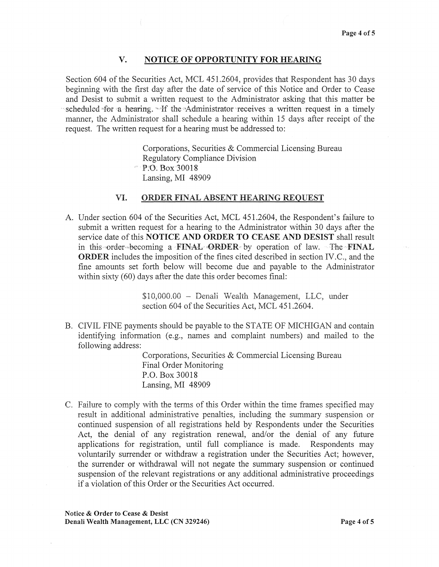## V. NOTICE OF OPPORTUNITY FOR HEARING

Section 604 of the Securities Act, MCL 451.2604, provides that Respondent has 30 days beginning with the first day after the date of service of this Notice and Order to Cease and Desist to submit a written request to the Administrator asking that this matter be scheduled for a hearing.  $\cdot$  If the Administrator receives a written request in a timely manner, the Administrator shall schedule a hearing within 15 days after receipt of the request. The written request for a hearing must be addressed to:

> Corporations, Securities & Commercial Licensing Bureau Regulatory Compliance Division P:O: Box30018 Lansing, MI 48909

## VI, ORDER FINAL ABSENT HEARING REQUEST

A. Under section 604 of the Securities Act, MCL 451.2604, the Respondent's failure to submit a written request for a hearing to the Administrator within 30 days after the service date of this NOTICE AND ORDER TO CEASE AND DESIST shall result in this order becoming a FINAL ORDER by operation of law. The FINAL ORDER includes the imposition of the fines cited described in section IV.C., and the fine amounts set forth below will become due and payable to the Administrator within sixty (60) days after the date this order becomes final:

> \$10,000.00 - Denali Wealth Management, LLC, under section 604 of the Securities Act, MCL 451.2604.

B. CIVIL FINE payments should be payable to the STATE OF MICHIGAN and contain identifying information (e.g., names and complaint numbers) and mailed to the following address:

> Corporations, Securities & Commercial Licensing Bureau Final Order Monitoring P.O. Box 30018 Lansing, MI 48909

C. Failure to comply with the terms of this Order within the time frames specified may result in additional administrative penalties, including the summary suspension or continued suspension of all registrations held by Respondents under the Securities Act, the denial of any registration renewal, and/or the denial of any future applications for registration, until full compliance is made. Respondents may voluntarily surrender or withdraw a registration under the Securities Act; however, the surrender or withdrawal will not negate the summary suspension or continued suspension of the relevant registrations or any additional administrative proceedings if a violation of this Order or the Securities Act occurred.

Notice & Order to Cease & Desist Denali Wealth Management, LLC (CN 329246) Page 4 of5